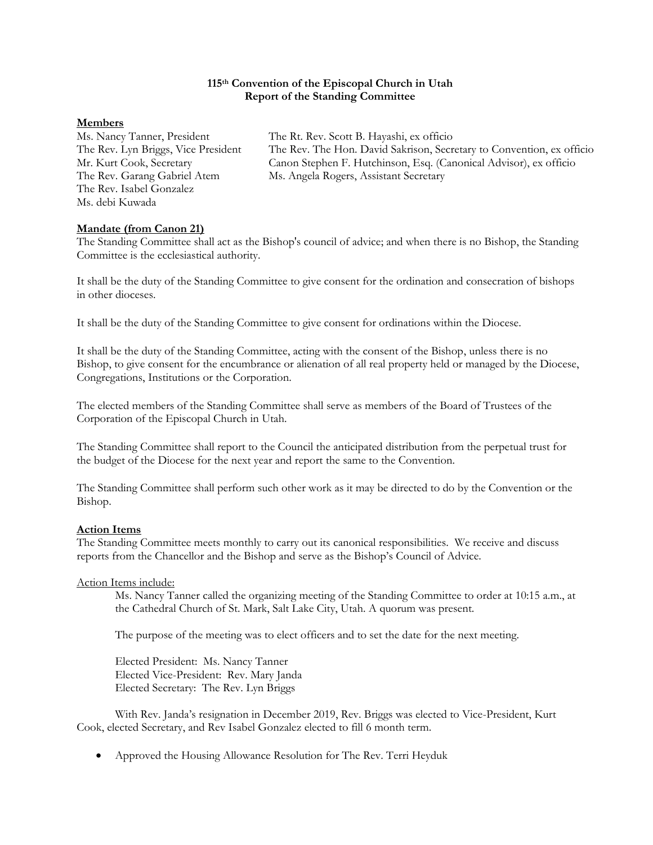#### **115th Convention of the Episcopal Church in Utah Report of the Standing Committee**

#### **Members**

The Rev. Isabel Gonzalez Ms. debi Kuwada

Ms. Nancy Tanner, President The Rt. Rev. Scott B. Hayashi, ex officio The Rev. Lyn Briggs, Vice President The Rev. The Hon. David Sakrison, Secretary to Convention, ex officio Mr. Kurt Cook, Secretary Canon Stephen F. Hutchinson, Esq. (Canonical Advisor), ex officio Mr. Kurt Cook, Secretary Canon Stephen F. Hutchinson, Esq. (Canonical Advisor), ex officio<br>The Rev. Garang Gabriel Atem Ms. Angela Rogers, Assistant Secretary Ms. Angela Rogers, Assistant Secretary

## **Mandate (from Canon 21)**

The Standing Committee shall act as the Bishop's council of advice; and when there is no Bishop, the Standing Committee is the ecclesiastical authority.

It shall be the duty of the Standing Committee to give consent for the ordination and consecration of bishops in other dioceses.

It shall be the duty of the Standing Committee to give consent for ordinations within the Diocese.

It shall be the duty of the Standing Committee, acting with the consent of the Bishop, unless there is no Bishop, to give consent for the encumbrance or alienation of all real property held or managed by the Diocese, Congregations, Institutions or the Corporation.

The elected members of the Standing Committee shall serve as members of the Board of Trustees of the Corporation of the Episcopal Church in Utah.

The Standing Committee shall report to the Council the anticipated distribution from the perpetual trust for the budget of the Diocese for the next year and report the same to the Convention.

The Standing Committee shall perform such other work as it may be directed to do by the Convention or the Bishop.

## **Action Items**

The Standing Committee meets monthly to carry out its canonical responsibilities. We receive and discuss reports from the Chancellor and the Bishop and serve as the Bishop's Council of Advice.

## Action Items include:

Ms. Nancy Tanner called the organizing meeting of the Standing Committee to order at 10:15 a.m., at the Cathedral Church of St. Mark, Salt Lake City, Utah. A quorum was present.

The purpose of the meeting was to elect officers and to set the date for the next meeting.

Elected President: Ms. Nancy Tanner Elected Vice-President: Rev. Mary Janda Elected Secretary: The Rev. Lyn Briggs

With Rev. Janda's resignation in December 2019, Rev. Briggs was elected to Vice-President, Kurt Cook, elected Secretary, and Rev Isabel Gonzalez elected to fill 6 month term.

• Approved the Housing Allowance Resolution for The Rev. Terri Heyduk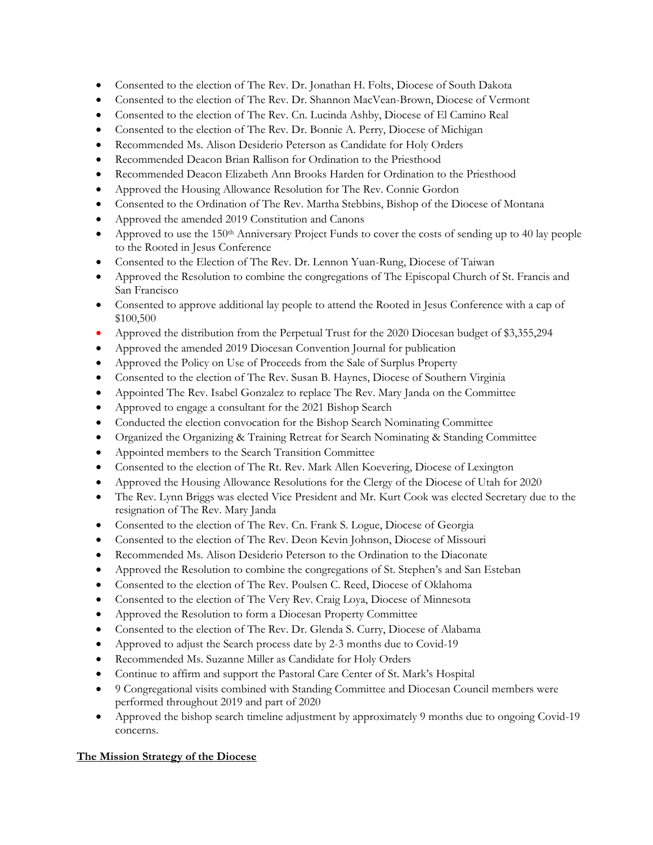- Consented to the election of The Rev. Dr. Jonathan H. Folts, Diocese of South Dakota
- Consented to the election of The Rev. Dr. Shannon MacVean-Brown, Diocese of Vermont
- Consented to the election of The Rev. Cn. Lucinda Ashby, Diocese of El Camino Real
- Consented to the election of The Rev. Dr. Bonnie A. Perry, Diocese of Michigan
- Recommended Ms. Alison Desiderio Peterson as Candidate for Holy Orders
- Recommended Deacon Brian Rallison for Ordination to the Priesthood
- Recommended Deacon Elizabeth Ann Brooks Harden for Ordination to the Priesthood
- Approved the Housing Allowance Resolution for The Rev. Connie Gordon
- Consented to the Ordination of The Rev. Martha Stebbins, Bishop of the Diocese of Montana
- Approved the amended 2019 Constitution and Canons
- Approved to use the 150th Anniversary Project Funds to cover the costs of sending up to 40 lay people to the Rooted in Jesus Conference
- Consented to the Election of The Rev. Dr. Lennon Yuan-Rung, Diocese of Taiwan
- Approved the Resolution to combine the congregations of The Episcopal Church of St. Francis and San Francisco
- Consented to approve additional lay people to attend the Rooted in Jesus Conference with a cap of \$100,500
- Approved the distribution from the Perpetual Trust for the 2020 Diocesan budget of \$3,355,294
- Approved the amended 2019 Diocesan Convention Journal for publication
- Approved the Policy on Use of Proceeds from the Sale of Surplus Property
- Consented to the election of The Rev. Susan B. Haynes, Diocese of Southern Virginia
- Appointed The Rev. Isabel Gonzalez to replace The Rev. Mary Janda on the Committee
- Approved to engage a consultant for the 2021 Bishop Search
- Conducted the election convocation for the Bishop Search Nominating Committee
- Organized the Organizing & Training Retreat for Search Nominating & Standing Committee
- Appointed members to the Search Transition Committee
- Consented to the election of The Rt. Rev. Mark Allen Koevering, Diocese of Lexington
- Approved the Housing Allowance Resolutions for the Clergy of the Diocese of Utah for 2020
- The Rev. Lynn Briggs was elected Vice President and Mr. Kurt Cook was elected Secretary due to the resignation of The Rev. Mary Janda
- Consented to the election of The Rev. Cn. Frank S. Logue, Diocese of Georgia
- Consented to the election of The Rev. Deon Kevin Johnson, Diocese of Missouri
- Recommended Ms. Alison Desiderio Peterson to the Ordination to the Diaconate
- Approved the Resolution to combine the congregations of St. Stephen's and San Esteban
- Consented to the election of The Rev. Poulsen C. Reed, Diocese of Oklahoma
- Consented to the election of The Very Rev. Craig Loya, Diocese of Minnesota
- Approved the Resolution to form a Diocesan Property Committee
- Consented to the election of The Rev. Dr. Glenda S. Curry, Diocese of Alabama
- Approved to adjust the Search process date by 2-3 months due to Covid-19
- Recommended Ms. Suzanne Miller as Candidate for Holy Orders
- Continue to affirm and support the Pastoral Care Center of St. Mark's Hospital
- 9 Congregational visits combined with Standing Committee and Diocesan Council members were performed throughout 2019 and part of 2020
- Approved the bishop search timeline adjustment by approximately 9 months due to ongoing Covid-19 concerns.

# **The Mission Strategy of the Diocese**